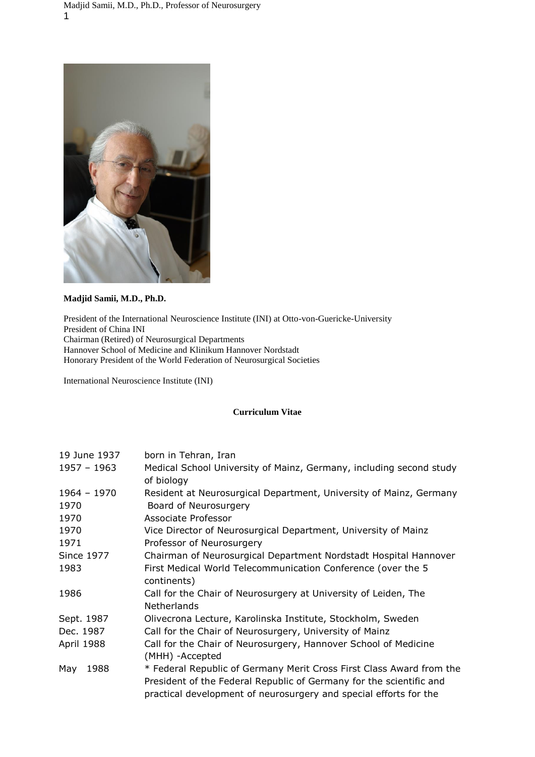

## **Madjid Samii, M.D., Ph.D.**

President of the International Neuroscience Institute (INI) at Otto-von-Guericke-University President of China INI Chairman (Retired) of Neurosurgical Departments Hannover School of Medicine and Klinikum Hannover Nordstadt Honorary President of the World Federation of Neurosurgical Societies

International Neuroscience Institute (INI)

## **Curriculum Vitae**

| 19 June 1937          | born in Tehran, Iran                                                                                                                                                                                             |
|-----------------------|------------------------------------------------------------------------------------------------------------------------------------------------------------------------------------------------------------------|
| 1957 - 1963           | Medical School University of Mainz, Germany, including second study<br>of biology                                                                                                                                |
| $1964 - 1970$<br>1970 | Resident at Neurosurgical Department, University of Mainz, Germany<br>Board of Neurosurgery                                                                                                                      |
| 1970                  | Associate Professor                                                                                                                                                                                              |
| 1970                  | Vice Director of Neurosurgical Department, University of Mainz                                                                                                                                                   |
| 1971                  | Professor of Neurosurgery                                                                                                                                                                                        |
| <b>Since 1977</b>     | Chairman of Neurosurgical Department Nordstadt Hospital Hannover                                                                                                                                                 |
| 1983                  | First Medical World Telecommunication Conference (over the 5<br>continents)                                                                                                                                      |
| 1986                  | Call for the Chair of Neurosurgery at University of Leiden, The<br><b>Netherlands</b>                                                                                                                            |
| Sept. 1987            | Olivecrona Lecture, Karolinska Institute, Stockholm, Sweden                                                                                                                                                      |
| Dec. 1987             | Call for the Chair of Neurosurgery, University of Mainz                                                                                                                                                          |
| April 1988            | Call for the Chair of Neurosurgery, Hannover School of Medicine<br>(MHH) -Accepted                                                                                                                               |
| 1988<br>May           | * Federal Republic of Germany Merit Cross First Class Award from the<br>President of the Federal Republic of Germany for the scientific and<br>practical development of neurosurgery and special efforts for the |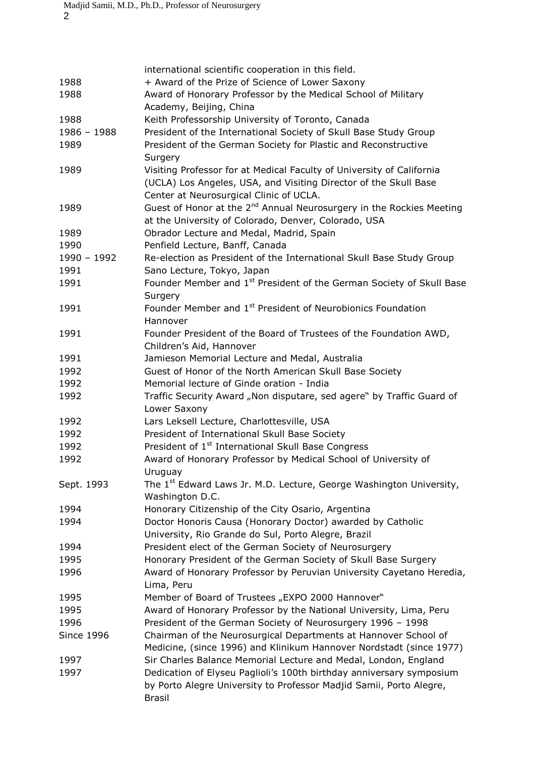|                   | international scientific cooperation in this field.                              |
|-------------------|----------------------------------------------------------------------------------|
| 1988              | + Award of the Prize of Science of Lower Saxony                                  |
| 1988              | Award of Honorary Professor by the Medical School of Military                    |
|                   | Academy, Beijing, China                                                          |
| 1988              | Keith Professorship University of Toronto, Canada                                |
| $1986 - 1988$     | President of the International Society of Skull Base Study Group                 |
|                   |                                                                                  |
| 1989              | President of the German Society for Plastic and Reconstructive                   |
|                   | Surgery                                                                          |
| 1989              | Visiting Professor for at Medical Faculty of University of California            |
|                   | (UCLA) Los Angeles, USA, and Visiting Director of the Skull Base                 |
|                   | Center at Neurosurgical Clinic of UCLA.                                          |
| 1989              | Guest of Honor at the 2 <sup>nd</sup> Annual Neurosurgery in the Rockies Meeting |
|                   | at the University of Colorado, Denver, Colorado, USA                             |
| 1989              | Obrador Lecture and Medal, Madrid, Spain                                         |
| 1990              | Penfield Lecture, Banff, Canada                                                  |
| 1990 - 1992       | Re-election as President of the International Skull Base Study Group             |
| 1991              |                                                                                  |
|                   | Sano Lecture, Tokyo, Japan                                                       |
| 1991              | Founder Member and 1 <sup>st</sup> President of the German Society of Skull Base |
|                   | Surgery                                                                          |
| 1991              | Founder Member and 1 <sup>st</sup> President of Neurobionics Foundation          |
|                   | Hannover                                                                         |
| 1991              | Founder President of the Board of Trustees of the Foundation AWD,                |
|                   | Children's Aid, Hannover                                                         |
| 1991              | Jamieson Memorial Lecture and Medal, Australia                                   |
| 1992              | Guest of Honor of the North American Skull Base Society                          |
| 1992              | Memorial lecture of Ginde oration - India                                        |
| 1992              | Traffic Security Award "Non disputare, sed agere" by Traffic Guard of            |
|                   |                                                                                  |
|                   | Lower Saxony                                                                     |
| 1992              | Lars Leksell Lecture, Charlottesville, USA                                       |
| 1992              | President of International Skull Base Society                                    |
| 1992              | President of 1 <sup>st</sup> International Skull Base Congress                   |
| 1992              | Award of Honorary Professor by Medical School of University of                   |
|                   | Uruguay                                                                          |
| Sept. 1993        | The 1 <sup>st</sup> Edward Laws Jr. M.D. Lecture, George Washington University,  |
|                   | Washington D.C.                                                                  |
| 1994              | Honorary Citizenship of the City Osario, Argentina                               |
| 1994              | Doctor Honoris Causa (Honorary Doctor) awarded by Catholic                       |
|                   | University, Rio Grande do Sul, Porto Alegre, Brazil                              |
| 1994              | President elect of the German Society of Neurosurgery                            |
|                   |                                                                                  |
| 1995              | Honorary President of the German Society of Skull Base Surgery                   |
| 1996              | Award of Honorary Professor by Peruvian University Cayetano Heredia,             |
|                   | Lima, Peru                                                                       |
| 1995              | Member of Board of Trustees "EXPO 2000 Hannover"                                 |
| 1995              | Award of Honorary Professor by the National University, Lima, Peru               |
| 1996              | President of the German Society of Neurosurgery 1996 - 1998                      |
| <b>Since 1996</b> | Chairman of the Neurosurgical Departments at Hannover School of                  |
|                   | Medicine, (since 1996) and Klinikum Hannover Nordstadt (since 1977)              |
| 1997              | Sir Charles Balance Memorial Lecture and Medal, London, England                  |
| 1997              | Dedication of Elyseu Paglioli's 100th birthday anniversary symposium             |
|                   | by Porto Alegre University to Professor Madjid Samii, Porto Alegre,              |
|                   | <b>Brasil</b>                                                                    |
|                   |                                                                                  |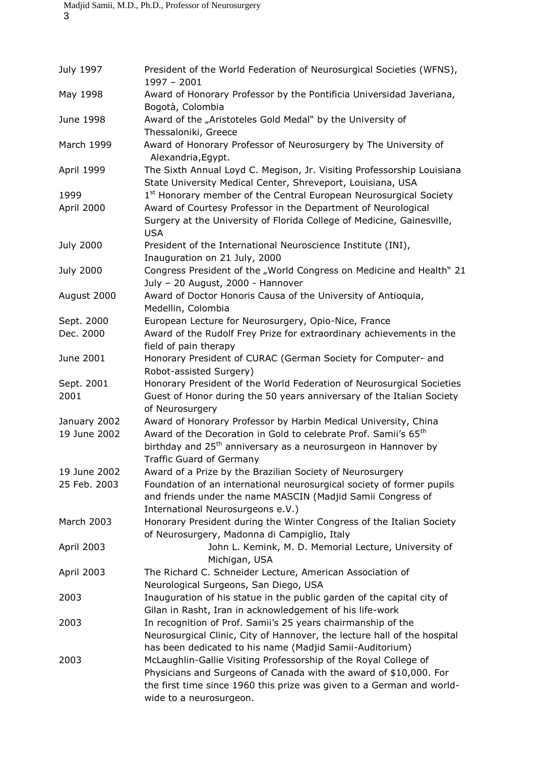| July 1997          | President of the World Federation of Neurosurgical Societies (WFNS),<br>$1997 - 2001$                                                                                                                                                                                                                 |
|--------------------|-------------------------------------------------------------------------------------------------------------------------------------------------------------------------------------------------------------------------------------------------------------------------------------------------------|
| May 1998           | Award of Honorary Professor by the Pontificia Universidad Javeriana,<br>Bogotà, Colombia                                                                                                                                                                                                              |
| June 1998          | Award of the "Aristoteles Gold Medal" by the University of<br>Thessaloniki, Greece                                                                                                                                                                                                                    |
| March 1999         | Award of Honorary Professor of Neurosurgery by The University of<br>Alexandria, Egypt.                                                                                                                                                                                                                |
| April 1999         | The Sixth Annual Loyd C. Megison, Jr. Visiting Professorship Louisiana<br>State University Medical Center, Shreveport, Louisiana, USA                                                                                                                                                                 |
| 1999<br>April 2000 | 1 <sup>st</sup> Honorary member of the Central European Neurosurgical Society<br>Award of Courtesy Professor in the Department of Neurological                                                                                                                                                        |
|                    | Surgery at the University of Florida College of Medicine, Gainesville,<br><b>USA</b>                                                                                                                                                                                                                  |
| July 2000          | President of the International Neuroscience Institute (INI),<br>Inauguration on 21 July, 2000                                                                                                                                                                                                         |
| July 2000          | Congress President of the "World Congress on Medicine and Health" 21<br>July - 20 August, 2000 - Hannover                                                                                                                                                                                             |
| August 2000        | Award of Doctor Honoris Causa of the University of Antioquia,<br>Medellin, Colombia                                                                                                                                                                                                                   |
| Sept. 2000         | European Lecture for Neurosurgery, Opio-Nice, France                                                                                                                                                                                                                                                  |
| Dec. 2000          | Award of the Rudolf Frey Prize for extraordinary achievements in the<br>field of pain therapy                                                                                                                                                                                                         |
| June 2001          | Honorary President of CURAC (German Society for Computer- and<br>Robot-assisted Surgery)                                                                                                                                                                                                              |
| Sept. 2001         | Honorary President of the World Federation of Neurosurgical Societies                                                                                                                                                                                                                                 |
| 2001               | Guest of Honor during the 50 years anniversary of the Italian Society<br>of Neurosurgery                                                                                                                                                                                                              |
| January 2002       | Award of Honorary Professor by Harbin Medical University, China                                                                                                                                                                                                                                       |
| 19 June 2002       | Award of the Decoration in Gold to celebrate Prof. Samii's 65 <sup>th</sup>                                                                                                                                                                                                                           |
|                    | birthday and 25 <sup>th</sup> anniversary as a neurosurgeon in Hannover by<br><b>Traffic Guard of Germany</b>                                                                                                                                                                                         |
| 19 June 2002       | Award of a Prize by the Brazilian Society of Neurosurgery                                                                                                                                                                                                                                             |
| 25 Feb. 2003       | Foundation of an international neurosurgical society of former pupils<br>and friends under the name MASCIN (Madjid Samii Congress of<br>International Neurosurgeons e.V.)                                                                                                                             |
| March 2003         | Honorary President during the Winter Congress of the Italian Society                                                                                                                                                                                                                                  |
| April 2003         | of Neurosurgery, Madonna di Campiglio, Italy<br>John L. Kemink, M. D. Memorial Lecture, University of                                                                                                                                                                                                 |
| April 2003         | Michigan, USA<br>The Richard C. Schneider Lecture, American Association of<br>Neurological Surgeons, San Diego, USA                                                                                                                                                                                   |
| 2003               | Inauguration of his statue in the public garden of the capital city of<br>Gilan in Rasht, Iran in acknowledgement of his life-work                                                                                                                                                                    |
| 2003               | In recognition of Prof. Samii's 25 years chairmanship of the<br>Neurosurgical Clinic, City of Hannover, the lecture hall of the hospital                                                                                                                                                              |
| 2003               | has been dedicated to his name (Madjid Samii-Auditorium)<br>McLaughlin-Gallie Visiting Professorship of the Royal College of<br>Physicians and Surgeons of Canada with the award of \$10,000. For<br>the first time since 1960 this prize was given to a German and world-<br>wide to a neurosurgeon. |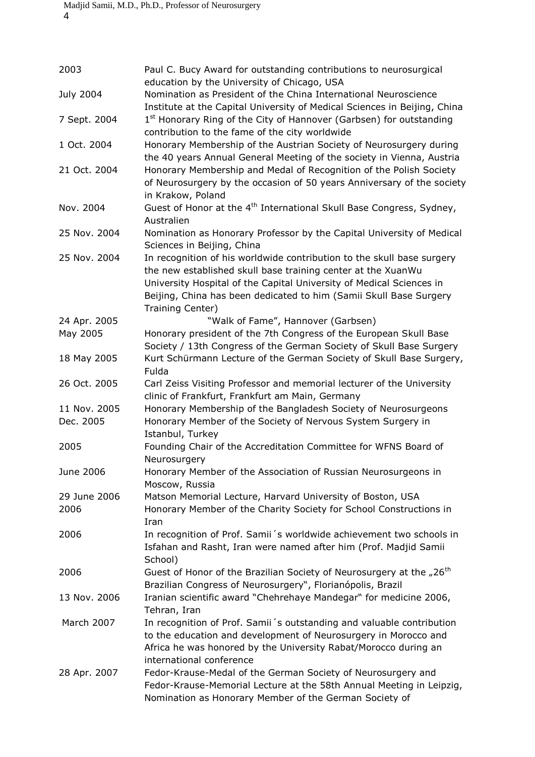| 2003                 | Paul C. Bucy Award for outstanding contributions to neurosurgical<br>education by the University of Chicago, USA                                                                                                                                                                                         |
|----------------------|----------------------------------------------------------------------------------------------------------------------------------------------------------------------------------------------------------------------------------------------------------------------------------------------------------|
| <b>July 2004</b>     | Nomination as President of the China International Neuroscience                                                                                                                                                                                                                                          |
| 7 Sept. 2004         | Institute at the Capital University of Medical Sciences in Beijing, China<br>1 <sup>st</sup> Honorary Ring of the City of Hannover (Garbsen) for outstanding<br>contribution to the fame of the city worldwide                                                                                           |
| 1 Oct. 2004          | Honorary Membership of the Austrian Society of Neurosurgery during<br>the 40 years Annual General Meeting of the society in Vienna, Austria                                                                                                                                                              |
| 21 Oct. 2004         | Honorary Membership and Medal of Recognition of the Polish Society<br>of Neurosurgery by the occasion of 50 years Anniversary of the society<br>in Krakow, Poland                                                                                                                                        |
| Nov. 2004            | Guest of Honor at the 4 <sup>th</sup> International Skull Base Congress, Sydney,<br>Australien                                                                                                                                                                                                           |
| 25 Nov. 2004         | Nomination as Honorary Professor by the Capital University of Medical<br>Sciences in Beijing, China                                                                                                                                                                                                      |
| 25 Nov. 2004         | In recognition of his worldwide contribution to the skull base surgery<br>the new established skull base training center at the XuanWu<br>University Hospital of the Capital University of Medical Sciences in<br>Beijing, China has been dedicated to him (Samii Skull Base Surgery<br>Training Center) |
| 24 Apr. 2005         | "Walk of Fame", Hannover (Garbsen)                                                                                                                                                                                                                                                                       |
| May 2005             | Honorary president of the 7th Congress of the European Skull Base<br>Society / 13th Congress of the German Society of Skull Base Surgery                                                                                                                                                                 |
| 18 May 2005          | Kurt Schürmann Lecture of the German Society of Skull Base Surgery,<br>Fulda                                                                                                                                                                                                                             |
| 26 Oct. 2005         | Carl Zeiss Visiting Professor and memorial lecturer of the University<br>clinic of Frankfurt, Frankfurt am Main, Germany                                                                                                                                                                                 |
| 11 Nov. 2005         | Honorary Membership of the Bangladesh Society of Neurosurgeons                                                                                                                                                                                                                                           |
| Dec. 2005            | Honorary Member of the Society of Nervous System Surgery in<br>Istanbul, Turkey                                                                                                                                                                                                                          |
| 2005                 | Founding Chair of the Accreditation Committee for WFNS Board of<br>Neurosurgery                                                                                                                                                                                                                          |
| June 2006            | Honorary Member of the Association of Russian Neurosurgeons in<br>Moscow, Russia                                                                                                                                                                                                                         |
| 29 June 2006<br>2006 | Matson Memorial Lecture, Harvard University of Boston, USA<br>Honorary Member of the Charity Society for School Constructions in<br>Iran                                                                                                                                                                 |
| 2006                 | In recognition of Prof. Samii's worldwide achievement two schools in<br>Isfahan and Rasht, Iran were named after him (Prof. Madjid Samii<br>School)                                                                                                                                                      |
| 2006                 | Guest of Honor of the Brazilian Society of Neurosurgery at the "26 <sup>th</sup><br>Brazilian Congress of Neurosurgery", Florianópolis, Brazil                                                                                                                                                           |
| 13 Nov. 2006         | Iranian scientific award "Chehrehaye Mandegar" for medicine 2006,<br>Tehran, Iran                                                                                                                                                                                                                        |
| March 2007           | In recognition of Prof. Samii's outstanding and valuable contribution<br>to the education and development of Neurosurgery in Morocco and<br>Africa he was honored by the University Rabat/Morocco during an<br>international conference                                                                  |
| 28 Apr. 2007         | Fedor-Krause-Medal of the German Society of Neurosurgery and<br>Fedor-Krause-Memorial Lecture at the 58th Annual Meeting in Leipzig,<br>Nomination as Honorary Member of the German Society of                                                                                                           |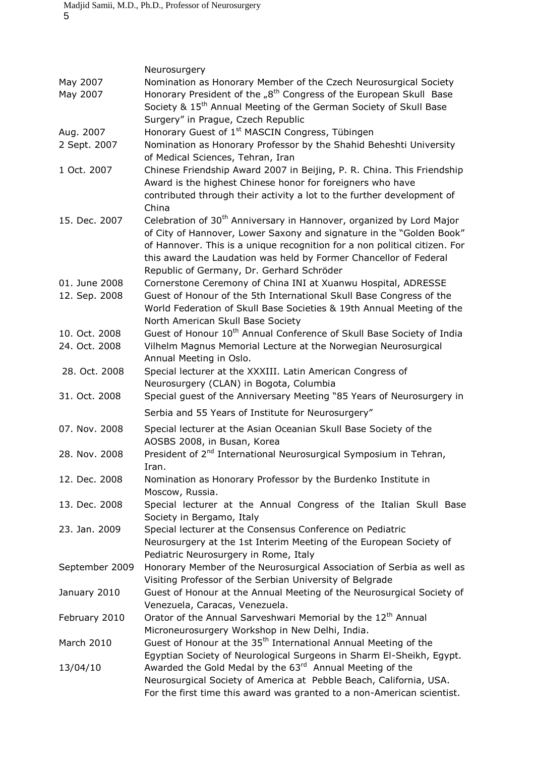|                                | Neurosurgery                                                                                                                                                                                                                                                                                                                                             |
|--------------------------------|----------------------------------------------------------------------------------------------------------------------------------------------------------------------------------------------------------------------------------------------------------------------------------------------------------------------------------------------------------|
| May 2007<br>May 2007           | Nomination as Honorary Member of the Czech Neurosurgical Society<br>Honorary President of the "8 <sup>th</sup> Congress of the European Skull Base<br>Society & 15 <sup>th</sup> Annual Meeting of the German Society of Skull Base<br>Surgery" in Prague, Czech Republic                                                                                |
| Aug. 2007                      | Honorary Guest of 1 <sup>st</sup> MASCIN Congress, Tübingen                                                                                                                                                                                                                                                                                              |
| 2 Sept. 2007                   | Nomination as Honorary Professor by the Shahid Beheshti University<br>of Medical Sciences, Tehran, Iran                                                                                                                                                                                                                                                  |
| 1 Oct. 2007                    | Chinese Friendship Award 2007 in Beijing, P. R. China. This Friendship<br>Award is the highest Chinese honor for foreigners who have<br>contributed through their activity a lot to the further development of<br>China                                                                                                                                  |
| 15. Dec. 2007                  | Celebration of 30 <sup>th</sup> Anniversary in Hannover, organized by Lord Major<br>of City of Hannover, Lower Saxony and signature in the "Golden Book"<br>of Hannover. This is a unique recognition for a non political citizen. For<br>this award the Laudation was held by Former Chancellor of Federal<br>Republic of Germany, Dr. Gerhard Schröder |
| 01. June 2008<br>12. Sep. 2008 | Cornerstone Ceremony of China INI at Xuanwu Hospital, ADRESSE<br>Guest of Honour of the 5th International Skull Base Congress of the<br>World Federation of Skull Base Societies & 19th Annual Meeting of the<br>North American Skull Base Society                                                                                                       |
| 10. Oct. 2008<br>24. Oct. 2008 | Guest of Honour 10 <sup>th</sup> Annual Conference of Skull Base Society of India<br>Vilhelm Magnus Memorial Lecture at the Norwegian Neurosurgical<br>Annual Meeting in Oslo.                                                                                                                                                                           |
| 28. Oct. 2008                  | Special lecturer at the XXXIII. Latin American Congress of<br>Neurosurgery (CLAN) in Bogota, Columbia                                                                                                                                                                                                                                                    |
| 31. Oct. 2008                  | Special guest of the Anniversary Meeting "85 Years of Neurosurgery in                                                                                                                                                                                                                                                                                    |
|                                | Serbia and 55 Years of Institute for Neurosurgery"                                                                                                                                                                                                                                                                                                       |
| 07. Nov. 2008                  | Special lecturer at the Asian Oceanian Skull Base Society of the<br>AOSBS 2008, in Busan, Korea                                                                                                                                                                                                                                                          |
| 28. Nov. 2008                  | President of 2 <sup>nd</sup> International Neurosurgical Symposium in Tehran,<br>Iran.                                                                                                                                                                                                                                                                   |
| 12. Dec. 2008                  | Nomination as Honorary Professor by the Burdenko Institute in<br>Moscow, Russia.                                                                                                                                                                                                                                                                         |
| 13. Dec. 2008                  | Special lecturer at the Annual Congress of the Italian Skull Base<br>Society in Bergamo, Italy                                                                                                                                                                                                                                                           |
| 23. Jan. 2009                  | Special lecturer at the Consensus Conference on Pediatric<br>Neurosurgery at the 1st Interim Meeting of the European Society of<br>Pediatric Neurosurgery in Rome, Italy                                                                                                                                                                                 |
| September 2009                 | Honorary Member of the Neurosurgical Association of Serbia as well as<br>Visiting Professor of the Serbian University of Belgrade                                                                                                                                                                                                                        |
| January 2010                   | Guest of Honour at the Annual Meeting of the Neurosurgical Society of<br>Venezuela, Caracas, Venezuela.                                                                                                                                                                                                                                                  |
| February 2010                  | Orator of the Annual Sarveshwari Memorial by the 12 <sup>th</sup> Annual<br>Microneurosurgery Workshop in New Delhi, India.                                                                                                                                                                                                                              |
| March 2010                     | Guest of Honour at the 35 <sup>th</sup> International Annual Meeting of the<br>Egyptian Society of Neurological Surgeons in Sharm El-Sheikh, Egypt.                                                                                                                                                                                                      |
| 13/04/10                       | Awarded the Gold Medal by the 63 <sup>rd</sup> Annual Meeting of the<br>Neurosurgical Society of America at Pebble Beach, California, USA.<br>For the first time this award was granted to a non-American scientist.                                                                                                                                     |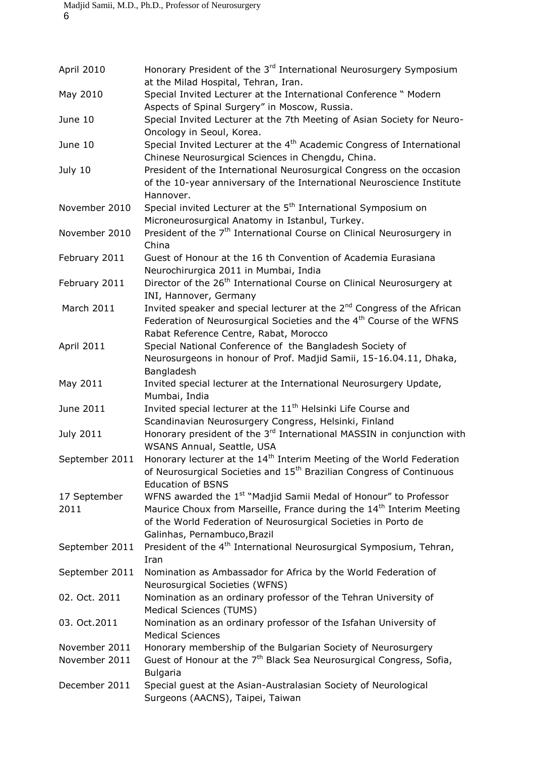| April 2010           | Honorary President of the 3 <sup>rd</sup> International Neurosurgery Symposium<br>at the Milad Hospital, Tehran, Iran.                                                                                                                                             |
|----------------------|--------------------------------------------------------------------------------------------------------------------------------------------------------------------------------------------------------------------------------------------------------------------|
| May 2010             | Special Invited Lecturer at the International Conference " Modern<br>Aspects of Spinal Surgery" in Moscow, Russia.                                                                                                                                                 |
| June 10              | Special Invited Lecturer at the 7th Meeting of Asian Society for Neuro-<br>Oncology in Seoul, Korea.                                                                                                                                                               |
| June 10              | Special Invited Lecturer at the 4 <sup>th</sup> Academic Congress of International<br>Chinese Neurosurgical Sciences in Chengdu, China.                                                                                                                            |
| July 10              | President of the International Neurosurgical Congress on the occasion<br>of the 10-year anniversary of the International Neuroscience Institute<br>Hannover.                                                                                                       |
| November 2010        | Special invited Lecturer at the 5 <sup>th</sup> International Symposium on<br>Microneurosurgical Anatomy in Istanbul, Turkey.                                                                                                                                      |
| November 2010        | President of the 7 <sup>th</sup> International Course on Clinical Neurosurgery in<br>China                                                                                                                                                                         |
| February 2011        | Guest of Honour at the 16 th Convention of Academia Eurasiana<br>Neurochirurgica 2011 in Mumbai, India                                                                                                                                                             |
| February 2011        | Director of the 26 <sup>th</sup> International Course on Clinical Neurosurgery at<br>INI, Hannover, Germany                                                                                                                                                        |
| March 2011           | Invited speaker and special lecturer at the 2 <sup>nd</sup> Congress of the African<br>Federation of Neurosurgical Societies and the 4 <sup>th</sup> Course of the WFNS<br>Rabat Reference Centre, Rabat, Morocco                                                  |
| April 2011           | Special National Conference of the Bangladesh Society of<br>Neurosurgeons in honour of Prof. Madjid Samii, 15-16.04.11, Dhaka,<br>Bangladesh                                                                                                                       |
| May 2011             | Invited special lecturer at the International Neurosurgery Update,<br>Mumbai, India                                                                                                                                                                                |
| June 2011            | Invited special lecturer at the 11 <sup>th</sup> Helsinki Life Course and<br>Scandinavian Neurosurgery Congress, Helsinki, Finland                                                                                                                                 |
| July 2011            | Honorary president of the 3 <sup>rd</sup> International MASSIN in conjunction with<br>WSANS Annual, Seattle, USA                                                                                                                                                   |
| September 2011       | Honorary lecturer at the 14 <sup>th</sup> Interim Meeting of the World Federation<br>of Neurosurgical Societies and 15 <sup>th</sup> Brazilian Congress of Continuous<br><b>Education of BSNS</b>                                                                  |
| 17 September<br>2011 | WFNS awarded the 1 <sup>st</sup> "Madjid Samii Medal of Honour" to Professor<br>Maurice Choux from Marseille, France during the 14 <sup>th</sup> Interim Meeting<br>of the World Federation of Neurosurgical Societies in Porto de<br>Galinhas, Pernambuco, Brazil |
| September 2011       | President of the 4 <sup>th</sup> International Neurosurgical Symposium, Tehran,<br>Iran                                                                                                                                                                            |
| September 2011       | Nomination as Ambassador for Africa by the World Federation of<br>Neurosurgical Societies (WFNS)                                                                                                                                                                   |
| 02. Oct. 2011        | Nomination as an ordinary professor of the Tehran University of<br>Medical Sciences (TUMS)                                                                                                                                                                         |
| 03. Oct.2011         | Nomination as an ordinary professor of the Isfahan University of<br><b>Medical Sciences</b>                                                                                                                                                                        |
| November 2011        | Honorary membership of the Bulgarian Society of Neurosurgery                                                                                                                                                                                                       |
| November 2011        | Guest of Honour at the 7 <sup>th</sup> Black Sea Neurosurgical Congress, Sofia,<br><b>Bulgaria</b>                                                                                                                                                                 |
| December 2011        | Special guest at the Asian-Australasian Society of Neurological<br>Surgeons (AACNS), Taipei, Taiwan                                                                                                                                                                |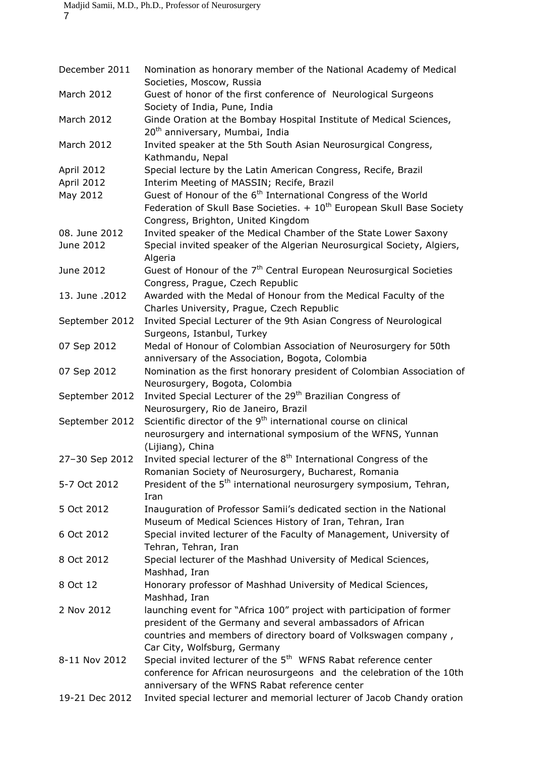| December 2011  | Nomination as honorary member of the National Academy of Medical<br>Societies, Moscow, Russia                                                                                                                                           |
|----------------|-----------------------------------------------------------------------------------------------------------------------------------------------------------------------------------------------------------------------------------------|
| March 2012     | Guest of honor of the first conference of Neurological Surgeons<br>Society of India, Pune, India                                                                                                                                        |
| March 2012     | Ginde Oration at the Bombay Hospital Institute of Medical Sciences,<br>20 <sup>th</sup> anniversary, Mumbai, India                                                                                                                      |
| March 2012     | Invited speaker at the 5th South Asian Neurosurgical Congress,<br>Kathmandu, Nepal                                                                                                                                                      |
| April 2012     | Special lecture by the Latin American Congress, Recife, Brazil                                                                                                                                                                          |
| April 2012     | Interim Meeting of MASSIN; Recife, Brazil                                                                                                                                                                                               |
| May 2012       | Guest of Honour of the 6 <sup>th</sup> International Congress of the World<br>Federation of Skull Base Societies. $+10^{th}$ European Skull Base Society<br>Congress, Brighton, United Kingdom                                          |
| 08. June 2012  | Invited speaker of the Medical Chamber of the State Lower Saxony                                                                                                                                                                        |
| June 2012      | Special invited speaker of the Algerian Neurosurgical Society, Algiers,<br>Algeria                                                                                                                                                      |
| June 2012      | Guest of Honour of the 7 <sup>th</sup> Central European Neurosurgical Societies<br>Congress, Prague, Czech Republic                                                                                                                     |
| 13. June .2012 | Awarded with the Medal of Honour from the Medical Faculty of the<br>Charles University, Prague, Czech Republic                                                                                                                          |
| September 2012 | Invited Special Lecturer of the 9th Asian Congress of Neurological<br>Surgeons, Istanbul, Turkey                                                                                                                                        |
| 07 Sep 2012    | Medal of Honour of Colombian Association of Neurosurgery for 50th                                                                                                                                                                       |
|                | anniversary of the Association, Bogota, Colombia                                                                                                                                                                                        |
| 07 Sep 2012    | Nomination as the first honorary president of Colombian Association of<br>Neurosurgery, Bogota, Colombia                                                                                                                                |
| September 2012 | Invited Special Lecturer of the 29 <sup>th</sup> Brazilian Congress of<br>Neurosurgery, Rio de Janeiro, Brazil                                                                                                                          |
| September 2012 | Scientific director of the 9 <sup>th</sup> international course on clinical                                                                                                                                                             |
|                | neurosurgery and international symposium of the WFNS, Yunnan<br>(Lijiang), China                                                                                                                                                        |
| 27-30 Sep 2012 | Invited special lecturer of the 8 <sup>th</sup> International Congress of the<br>Romanian Society of Neurosurgery, Bucharest, Romania                                                                                                   |
| 5-7 Oct 2012   | President of the 5 <sup>th</sup> international neurosurgery symposium, Tehran,<br>Iran                                                                                                                                                  |
| 5 Oct 2012     | Inauguration of Professor Samii's dedicated section in the National<br>Museum of Medical Sciences History of Iran, Tehran, Iran                                                                                                         |
| 6 Oct 2012     | Special invited lecturer of the Faculty of Management, University of<br>Tehran, Tehran, Iran                                                                                                                                            |
| 8 Oct 2012     | Special lecturer of the Mashhad University of Medical Sciences,<br>Mashhad, Iran                                                                                                                                                        |
| 8 Oct 12       | Honorary professor of Mashhad University of Medical Sciences,<br>Mashhad, Iran                                                                                                                                                          |
| 2 Nov 2012     | launching event for "Africa 100" project with participation of former<br>president of the Germany and several ambassadors of African<br>countries and members of directory board of Volkswagen company,<br>Car City, Wolfsburg, Germany |
| 8-11 Nov 2012  | Special invited lecturer of the 5 <sup>th</sup> WFNS Rabat reference center<br>conference for African neurosurgeons and the celebration of the 10th<br>anniversary of the WFNS Rabat reference center                                   |
| 19-21 Dec 2012 | Invited special lecturer and memorial lecturer of Jacob Chandy oration                                                                                                                                                                  |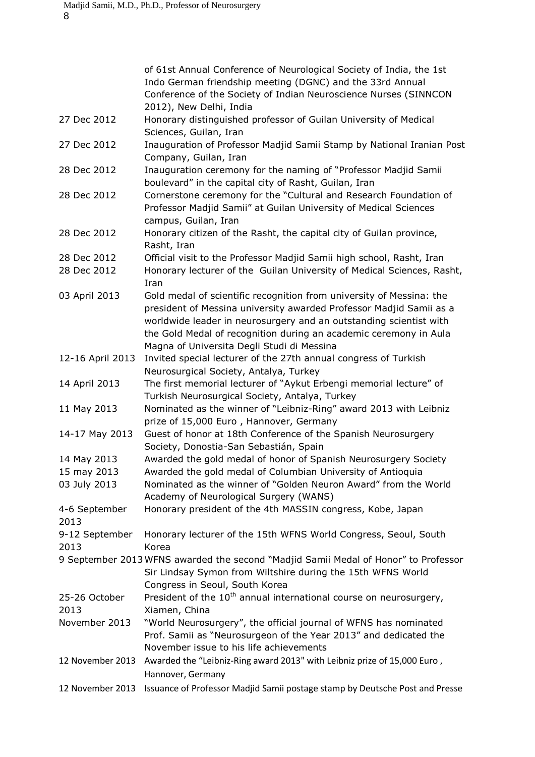|                       | of 61st Annual Conference of Neurological Society of India, the 1st                                                                                                                                                                                                                                                                  |
|-----------------------|--------------------------------------------------------------------------------------------------------------------------------------------------------------------------------------------------------------------------------------------------------------------------------------------------------------------------------------|
|                       | Indo German friendship meeting (DGNC) and the 33rd Annual<br>Conference of the Society of Indian Neuroscience Nurses (SINNCON                                                                                                                                                                                                        |
|                       | 2012), New Delhi, India                                                                                                                                                                                                                                                                                                              |
| 27 Dec 2012           | Honorary distinguished professor of Guilan University of Medical<br>Sciences, Guilan, Iran                                                                                                                                                                                                                                           |
| 27 Dec 2012           | Inauguration of Professor Madjid Samii Stamp by National Iranian Post<br>Company, Guilan, Iran                                                                                                                                                                                                                                       |
| 28 Dec 2012           | Inauguration ceremony for the naming of "Professor Madjid Samii<br>boulevard" in the capital city of Rasht, Guilan, Iran                                                                                                                                                                                                             |
| 28 Dec 2012           | Cornerstone ceremony for the "Cultural and Research Foundation of<br>Professor Madjid Samii" at Guilan University of Medical Sciences<br>campus, Guilan, Iran                                                                                                                                                                        |
| 28 Dec 2012           | Honorary citizen of the Rasht, the capital city of Guilan province,<br>Rasht, Iran                                                                                                                                                                                                                                                   |
| 28 Dec 2012           | Official visit to the Professor Madjid Samii high school, Rasht, Iran                                                                                                                                                                                                                                                                |
| 28 Dec 2012           | Honorary lecturer of the Guilan University of Medical Sciences, Rasht,<br>Iran                                                                                                                                                                                                                                                       |
| 03 April 2013         | Gold medal of scientific recognition from university of Messina: the<br>president of Messina university awarded Professor Madjid Samii as a<br>worldwide leader in neurosurgery and an outstanding scientist with<br>the Gold Medal of recognition during an academic ceremony in Aula<br>Magna of Universita Degli Studi di Messina |
| 12-16 April 2013      | Invited special lecturer of the 27th annual congress of Turkish<br>Neurosurgical Society, Antalya, Turkey                                                                                                                                                                                                                            |
| 14 April 2013         | The first memorial lecturer of "Aykut Erbengi memorial lecture" of<br>Turkish Neurosurgical Society, Antalya, Turkey                                                                                                                                                                                                                 |
| 11 May 2013           | Nominated as the winner of "Leibniz-Ring" award 2013 with Leibniz<br>prize of 15,000 Euro, Hannover, Germany                                                                                                                                                                                                                         |
| 14-17 May 2013        | Guest of honor at 18th Conference of the Spanish Neurosurgery<br>Society, Donostia-San Sebastián, Spain                                                                                                                                                                                                                              |
| 14 May 2013           | Awarded the gold medal of honor of Spanish Neurosurgery Society                                                                                                                                                                                                                                                                      |
| 15 may 2013           | Awarded the gold medal of Columbian University of Antioquia                                                                                                                                                                                                                                                                          |
| 03 July 2013          | Nominated as the winner of "Golden Neuron Award" from the World<br>Academy of Neurological Surgery (WANS)                                                                                                                                                                                                                            |
| 4-6 September<br>2013 | Honorary president of the 4th MASSIN congress, Kobe, Japan                                                                                                                                                                                                                                                                           |
| 9-12 September        | Honorary lecturer of the 15th WFNS World Congress, Seoul, South                                                                                                                                                                                                                                                                      |
| 2013                  | Korea                                                                                                                                                                                                                                                                                                                                |
|                       | 9 September 2013 WFNS awarded the second "Madjid Samii Medal of Honor" to Professor<br>Sir Lindsay Symon from Wiltshire during the 15th WFNS World                                                                                                                                                                                   |
|                       | Congress in Seoul, South Korea                                                                                                                                                                                                                                                                                                       |
| 25-26 October<br>2013 | President of the $10^{th}$ annual international course on neurosurgery,<br>Xiamen, China                                                                                                                                                                                                                                             |
| November 2013         | "World Neurosurgery", the official journal of WFNS has nominated<br>Prof. Samii as "Neurosurgeon of the Year 2013" and dedicated the<br>November issue to his life achievements                                                                                                                                                      |
| 12 November 2013      | Awarded the "Leibniz-Ring award 2013" with Leibniz prize of 15,000 Euro,<br>Hannover, Germany                                                                                                                                                                                                                                        |
| 12 November 2013      | Issuance of Professor Madjid Samii postage stamp by Deutsche Post and Presse                                                                                                                                                                                                                                                         |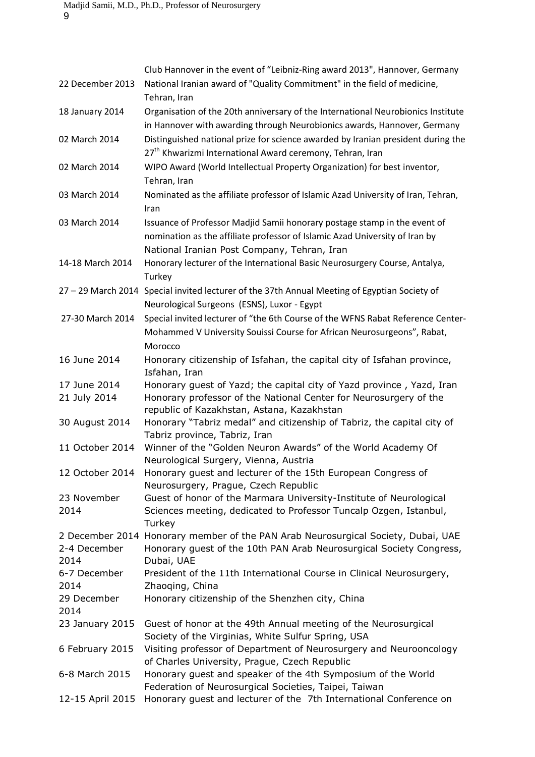|                  | Club Hannover in the event of "Leibniz-Ring award 2013", Hannover, Germany                    |
|------------------|-----------------------------------------------------------------------------------------------|
| 22 December 2013 | National Iranian award of "Quality Commitment" in the field of medicine,                      |
|                  | Tehran, Iran                                                                                  |
| 18 January 2014  | Organisation of the 20th anniversary of the International Neurobionics Institute              |
|                  | in Hannover with awarding through Neurobionics awards, Hannover, Germany                      |
| 02 March 2014    | Distinguished national prize for science awarded by Iranian president during the              |
|                  | 27 <sup>th</sup> Khwarizmi International Award ceremony, Tehran, Iran                         |
| 02 March 2014    | WIPO Award (World Intellectual Property Organization) for best inventor,                      |
|                  |                                                                                               |
|                  | Tehran, Iran                                                                                  |
| 03 March 2014    | Nominated as the affiliate professor of Islamic Azad University of Iran, Tehran,              |
|                  | Iran                                                                                          |
| 03 March 2014    | Issuance of Professor Madjid Samii honorary postage stamp in the event of                     |
|                  | nomination as the affiliate professor of Islamic Azad University of Iran by                   |
|                  | National Iranian Post Company, Tehran, Iran                                                   |
| 14-18 March 2014 | Honorary lecturer of the International Basic Neurosurgery Course, Antalya,                    |
|                  | Turkey                                                                                        |
|                  | 27 - 29 March 2014 Special invited lecturer of the 37th Annual Meeting of Egyptian Society of |
|                  | Neurological Surgeons (ESNS), Luxor - Egypt                                                   |
| 27-30 March 2014 | Special invited lecturer of "the 6th Course of the WFNS Rabat Reference Center-               |
|                  | Mohammed V University Souissi Course for African Neurosurgeons", Rabat,                       |
|                  | Morocco                                                                                       |
| 16 June 2014     | Honorary citizenship of Isfahan, the capital city of Isfahan province,                        |
|                  | Isfahan, Iran                                                                                 |
| 17 June 2014     | Honorary guest of Yazd; the capital city of Yazd province, Yazd, Iran                         |
| 21 July 2014     | Honorary professor of the National Center for Neurosurgery of the                             |
|                  | republic of Kazakhstan, Astana, Kazakhstan                                                    |
| 30 August 2014   | Honorary "Tabriz medal" and citizenship of Tabriz, the capital city of                        |
|                  | Tabriz province, Tabriz, Iran                                                                 |
| 11 October 2014  | Winner of the "Golden Neuron Awards" of the World Academy Of                                  |
|                  | Neurological Surgery, Vienna, Austria                                                         |
| 12 October 2014  | Honorary guest and lecturer of the 15th European Congress of                                  |
|                  | Neurosurgery, Prague, Czech Republic                                                          |
| 23 November      | Guest of honor of the Marmara University-Institute of Neurological                            |
| 2014             | Sciences meeting, dedicated to Professor Tuncalp Ozgen, Istanbul,                             |
|                  | Turkey                                                                                        |
|                  | 2 December 2014 Honorary member of the PAN Arab Neurosurgical Society, Dubai, UAE             |
| 2-4 December     | Honorary guest of the 10th PAN Arab Neurosurgical Society Congress,                           |
| 2014             | Dubai, UAE                                                                                    |
| 6-7 December     | President of the 11th International Course in Clinical Neurosurgery,                          |
| 2014             | Zhaoqing, China                                                                               |
| 29 December      | Honorary citizenship of the Shenzhen city, China                                              |
| 2014             |                                                                                               |
| 23 January 2015  | Guest of honor at the 49th Annual meeting of the Neurosurgical                                |
|                  | Society of the Virginias, White Sulfur Spring, USA                                            |
| 6 February 2015  | Visiting professor of Department of Neurosurgery and Neurooncology                            |
|                  | of Charles University, Prague, Czech Republic                                                 |
| 6-8 March 2015   | Honorary guest and speaker of the 4th Symposium of the World                                  |
|                  | Federation of Neurosurgical Societies, Taipei, Taiwan                                         |
| 12-15 April 2015 | Honorary guest and lecturer of the 7th International Conference on                            |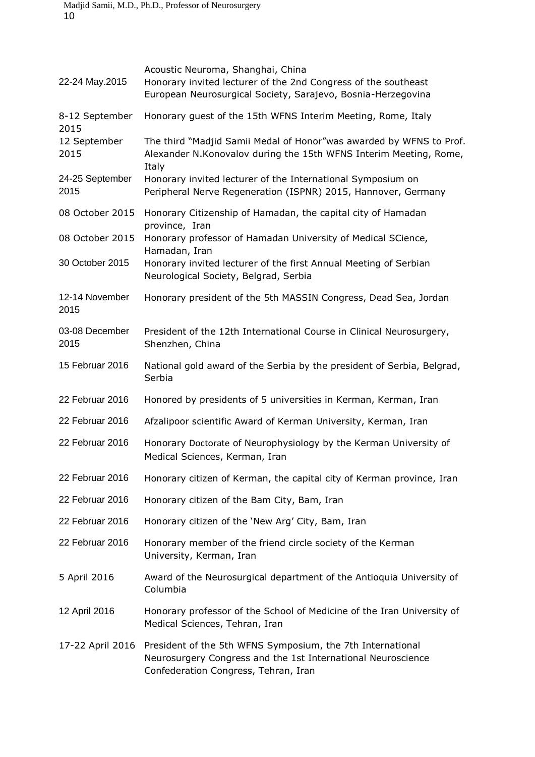| 22-24 May.2015               | Acoustic Neuroma, Shanghai, China<br>Honorary invited lecturer of the 2nd Congress of the southeast<br>European Neurosurgical Society, Sarajevo, Bosnia-Herzegovina |
|------------------------------|---------------------------------------------------------------------------------------------------------------------------------------------------------------------|
| 8-12 September               | Honorary guest of the 15th WFNS Interim Meeting, Rome, Italy                                                                                                        |
| 2015<br>12 September<br>2015 | The third "Madjid Samii Medal of Honor"was awarded by WFNS to Prof.<br>Alexander N. Konovalov during the 15th WFNS Interim Meeting, Rome,<br>Italy                  |
| 24-25 September<br>2015      | Honorary invited lecturer of the International Symposium on<br>Peripheral Nerve Regeneration (ISPNR) 2015, Hannover, Germany                                        |
| 08 October 2015              | Honorary Citizenship of Hamadan, the capital city of Hamadan<br>province, Iran                                                                                      |
| 08 October 2015              | Honorary professor of Hamadan University of Medical SCience,<br>Hamadan, Iran                                                                                       |
| 30 October 2015              | Honorary invited lecturer of the first Annual Meeting of Serbian<br>Neurological Society, Belgrad, Serbia                                                           |
| 12-14 November<br>2015       | Honorary president of the 5th MASSIN Congress, Dead Sea, Jordan                                                                                                     |
| 03-08 December<br>2015       | President of the 12th International Course in Clinical Neurosurgery,<br>Shenzhen, China                                                                             |
| 15 Februar 2016              | National gold award of the Serbia by the president of Serbia, Belgrad,<br>Serbia                                                                                    |
| 22 Februar 2016              | Honored by presidents of 5 universities in Kerman, Kerman, Iran                                                                                                     |
| 22 Februar 2016              | Afzalipoor scientific Award of Kerman University, Kerman, Iran                                                                                                      |
| 22 Februar 2016              | Honorary Doctorate of Neurophysiology by the Kerman University of<br>Medical Sciences, Kerman, Iran                                                                 |
| 22 Februar 2016              | Honorary citizen of Kerman, the capital city of Kerman province, Iran                                                                                               |
| 22 Februar 2016              | Honorary citizen of the Bam City, Bam, Iran                                                                                                                         |
| 22 Februar 2016              | Honorary citizen of the 'New Arg' City, Bam, Iran                                                                                                                   |
| 22 Februar 2016              | Honorary member of the friend circle society of the Kerman<br>University, Kerman, Iran                                                                              |
| 5 April 2016                 | Award of the Neurosurgical department of the Antioquia University of<br>Columbia                                                                                    |
| 12 April 2016                | Honorary professor of the School of Medicine of the Iran University of<br>Medical Sciences, Tehran, Iran                                                            |
| 17-22 April 2016             | President of the 5th WFNS Symposium, the 7th International<br>Neurosurgery Congress and the 1st International Neuroscience<br>Confederation Congress, Tehran, Iran  |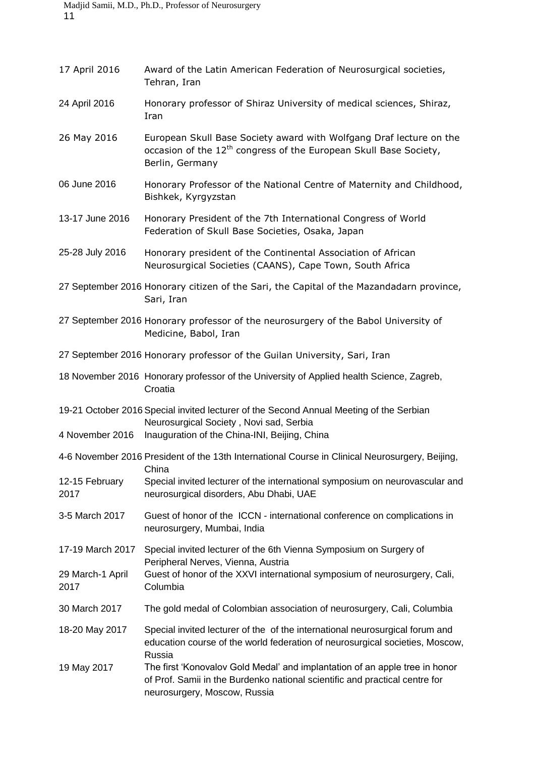| 17 April 2016            | Award of the Latin American Federation of Neurosurgical societies,<br>Tehran, Iran                                                                                                         |
|--------------------------|--------------------------------------------------------------------------------------------------------------------------------------------------------------------------------------------|
| 24 April 2016            | Honorary professor of Shiraz University of medical sciences, Shiraz,<br>Iran                                                                                                               |
| 26 May 2016              | European Skull Base Society award with Wolfgang Draf lecture on the<br>occasion of the 12 <sup>th</sup> congress of the European Skull Base Society,<br>Berlin, Germany                    |
| 06 June 2016             | Honorary Professor of the National Centre of Maternity and Childhood,<br>Bishkek, Kyrgyzstan                                                                                               |
| 13-17 June 2016          | Honorary President of the 7th International Congress of World<br>Federation of Skull Base Societies, Osaka, Japan                                                                          |
| 25-28 July 2016          | Honorary president of the Continental Association of African<br>Neurosurgical Societies (CAANS), Cape Town, South Africa                                                                   |
|                          | 27 September 2016 Honorary citizen of the Sari, the Capital of the Mazandadarn province,<br>Sari, Iran                                                                                     |
|                          | 27 September 2016 Honorary professor of the neurosurgery of the Babol University of<br>Medicine, Babol, Iran                                                                               |
|                          | 27 September 2016 Honorary professor of the Guilan University, Sari, Iran                                                                                                                  |
|                          | 18 November 2016 Honorary professor of the University of Applied health Science, Zagreb,<br>Croatia                                                                                        |
| 4 November 2016          | 19-21 October 2016 Special invited lecturer of the Second Annual Meeting of the Serbian<br>Neurosurgical Society, Novi sad, Serbia<br>Inauguration of the China-INI, Beijing, China        |
|                          | 4-6 November 2016 President of the 13th International Course in Clinical Neurosurgery, Beijing,                                                                                            |
| 12-15 February<br>2017   | China<br>Special invited lecturer of the international symposium on neurovascular and<br>neurosurgical disorders, Abu Dhabi, UAE                                                           |
| 3-5 March 2017           | Guest of honor of the ICCN - international conference on complications in<br>neurosurgery, Mumbai, India                                                                                   |
| 17-19 March 2017         | Special invited lecturer of the 6th Vienna Symposium on Surgery of                                                                                                                         |
| 29 March-1 April<br>2017 | Peripheral Nerves, Vienna, Austria<br>Guest of honor of the XXVI international symposium of neurosurgery, Cali,<br>Columbia                                                                |
| 30 March 2017            | The gold medal of Colombian association of neurosurgery, Cali, Columbia                                                                                                                    |
| 18-20 May 2017           | Special invited lecturer of the of the international neurosurgical forum and<br>education course of the world federation of neurosurgical societies, Moscow,<br>Russia                     |
| 19 May 2017              | The first 'Konovalov Gold Medal' and implantation of an apple tree in honor<br>of Prof. Samii in the Burdenko national scientific and practical centre for<br>neurosurgery, Moscow, Russia |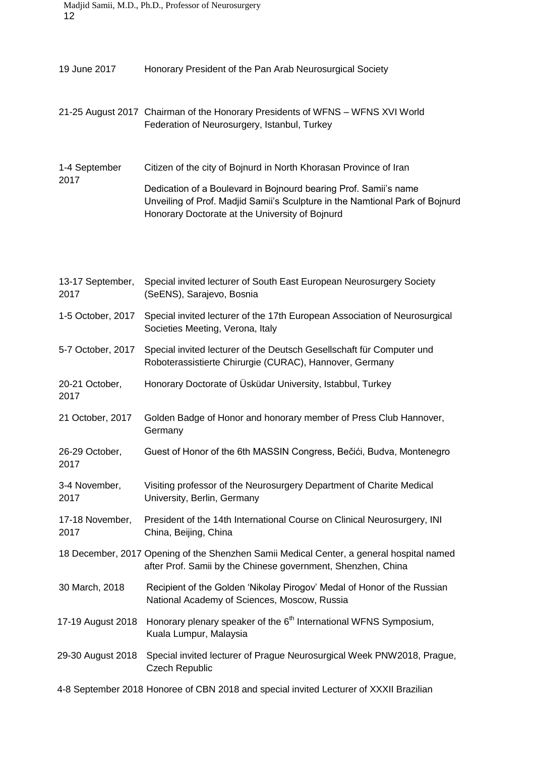| 12                      | Madjid Samii, M.D., Ph.D., Professor of Neurosurgery                                                                                                                                                |
|-------------------------|-----------------------------------------------------------------------------------------------------------------------------------------------------------------------------------------------------|
| 19 June 2017            | Honorary President of the Pan Arab Neurosurgical Society                                                                                                                                            |
|                         | 21-25 August 2017 Chairman of the Honorary Presidents of WFNS - WFNS XVI World<br>Federation of Neurosurgery, Istanbul, Turkey                                                                      |
| 1-4 September           | Citizen of the city of Bojnurd in North Khorasan Province of Iran                                                                                                                                   |
| 2017                    | Dedication of a Boulevard in Bojnourd bearing Prof. Samii's name<br>Unveiling of Prof. Madjid Samii's Sculpture in the Namtional Park of Bojnurd<br>Honorary Doctorate at the University of Bojnurd |
| 13-17 September,        | Special invited lecturer of South East European Neurosurgery Society                                                                                                                                |
| 2017                    | (SeENS), Sarajevo, Bosnia                                                                                                                                                                           |
| 1-5 October, 2017       | Special invited lecturer of the 17th European Association of Neurosurgical<br>Societies Meeting, Verona, Italy                                                                                      |
| 5-7 October, 2017       | Special invited lecturer of the Deutsch Gesellschaft für Computer und<br>Roboterassistierte Chirurgie (CURAC), Hannover, Germany                                                                    |
| 20-21 October,<br>2017  | Honorary Doctorate of Üsküdar University, Istabbul, Turkey                                                                                                                                          |
| 21 October, 2017        | Golden Badge of Honor and honorary member of Press Club Hannover,<br>Germany                                                                                                                        |
| 26-29 October,<br>2017  | Guest of Honor of the 6th MASSIN Congress, Bečići, Budva, Montenegro                                                                                                                                |
| 3-4 November,<br>2017   | Visiting professor of the Neurosurgery Department of Charite Medical<br>University, Berlin, Germany                                                                                                 |
| 17-18 November,<br>2017 | President of the 14th International Course on Clinical Neurosurgery, INI<br>China, Beijing, China                                                                                                   |
|                         | 18 December, 2017 Opening of the Shenzhen Samii Medical Center, a general hospital named<br>after Prof. Samii by the Chinese government, Shenzhen, China                                            |
| 30 March, 2018          | Recipient of the Golden 'Nikolay Pirogov' Medal of Honor of the Russian<br>National Academy of Sciences, Moscow, Russia                                                                             |
| 17-19 August 2018       | Honorary plenary speaker of the 6 <sup>th</sup> International WFNS Symposium,<br>Kuala Lumpur, Malaysia                                                                                             |
| 29-30 August 2018       | Special invited lecturer of Prague Neurosurgical Week PNW2018, Prague,<br><b>Czech Republic</b>                                                                                                     |
|                         |                                                                                                                                                                                                     |

4-8 September 2018 Honoree of CBN 2018 and special invited Lecturer of XXXII Brazilian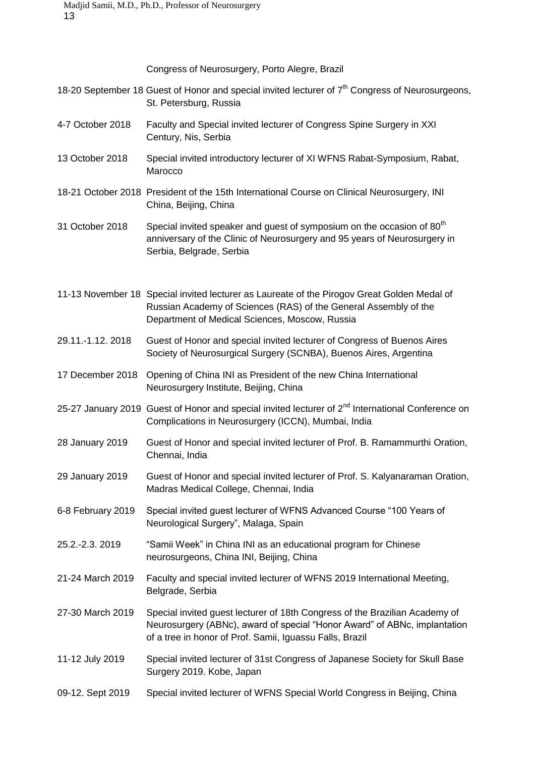Congress of Neurosurgery, Porto Alegre, Brazil

- 18-20 September 18 Guest of Honor and special invited lecturer of 7<sup>th</sup> Congress of Neurosurgeons, St. Petersburg, Russia
- 4-7 October 2018 Faculty and Special invited lecturer of Congress Spine Surgery in XXI Century, Nis, Serbia
- 13 October 2018 Special invited introductory lecturer of XI WFNS Rabat-Symposium, Rabat, Marocco
- 18-21 October 2018 President of the 15th International Course on Clinical Neurosurgery, INI China, Beijing, China
- 31 October 2018 Special invited speaker and guest of symposium on the occasion of  $80<sup>th</sup>$ anniversary of the Clinic of Neurosurgery and 95 years of Neurosurgery in Serbia, Belgrade, Serbia
- 11-13 November 18 Special invited lecturer as Laureate of the Pirogov Great Golden Medal of Russian Academy of Sciences (RAS) of the General Assembly of the Department of Medical Sciences, Moscow, Russia
- 29.11.-1.12. 2018 Guest of Honor and special invited lecturer of Congress of Buenos Aires Society of Neurosurgical Surgery (SCNBA), Buenos Aires, Argentina
- 17 December 2018 Opening of China INI as President of the new China International Neurosurgery Institute, Beijing, China
- 25-27 January 2019 Guest of Honor and special invited lecturer of 2<sup>nd</sup> International Conference on Complications in Neurosurgery (ICCN), Mumbai, India
- 28 January 2019 Guest of Honor and special invited lecturer of Prof. B. Ramammurthi Oration, Chennai, India
- 29 January 2019 Guest of Honor and special invited lecturer of Prof. S. Kalyanaraman Oration, Madras Medical College, Chennai, India
- 6-8 February 2019 Special invited guest lecturer of WFNS Advanced Course "100 Years of Neurological Surgery", Malaga, Spain
- 25.2.-2.3. 2019 "Samii Week" in China INI as an educational program for Chinese neurosurgeons, China INI, Beijing, China
- 21-24 March 2019 Faculty and special invited lecturer of WFNS 2019 International Meeting, Belgrade, Serbia
- 27-30 March 2019 Special invited guest lecturer of 18th Congress of the Brazilian Academy of Neurosurgery (ABNc), award of special "Honor Award" of ABNc, implantation of a tree in honor of Prof. Samii, Iguassu Falls, Brazil
- 11-12 July 2019 Special invited lecturer of 31st Congress of Japanese Society for Skull Base Surgery 2019. Kobe, Japan
- 09-12. Sept 2019 Special invited lecturer of WFNS Special World Congress in Beijing, China